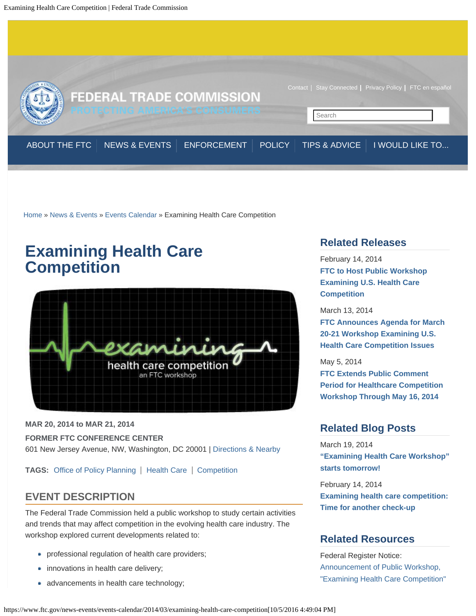<span id="page-0-0"></span>

[Home](https://www.ftc.gov/) » [News & Events](https://www.ftc.gov/news-events) » [Events Calendar](https://www.ftc.gov/news-events/events-calendar) » Examining Health Care Competition

# **Examining Health Care Competition**



**MAR 20, 2014 to MAR 21, 2014**

**FORMER FTC CONFERENCE CENTER**

601 New Jersey Avenue, NW, Washington, DC 20001 | [Directions & Nearby](https://www.ftc.gov/news-events/locations/former-ftc-conference-center)

**TAGS:** [Office of Policy Planning](https://www.ftc.gov/bureaus/office-policy-planning) | [Health Care](https://www.ftc.gov/industry/health-care) | [Competition](https://www.ftc.gov/mission/competition)

### **EVENT DESCRIPTION**

The Federal Trade Commission held a public workshop to study certain activities and trends that may affect competition in the evolving health care industry. The workshop explored current developments related to:

- professional regulation of health care providers;
- innovations in health care delivery;
- advancements in health care technology;

## **Related Releases**

February 14, 2014 **[FTC to Host Public Workshop](https://www.ftc.gov/news-events/press-releases/2014/02/ftc-host-public-workshop-examining-us-health-care-competition) [Examining U.S. Health Care](https://www.ftc.gov/news-events/press-releases/2014/02/ftc-host-public-workshop-examining-us-health-care-competition) [Competition](https://www.ftc.gov/news-events/press-releases/2014/02/ftc-host-public-workshop-examining-us-health-care-competition)**

March 13, 2014 **[FTC Announces Agenda for March](https://www.ftc.gov/news-events/press-releases/2014/03/ftc-announces-agenda-march-20-21-workshop-examining-us-health) [20-21 Workshop Examining U.S.](https://www.ftc.gov/news-events/press-releases/2014/03/ftc-announces-agenda-march-20-21-workshop-examining-us-health) [Health Care Competition Issues](https://www.ftc.gov/news-events/press-releases/2014/03/ftc-announces-agenda-march-20-21-workshop-examining-us-health)**

May 5, 2014 **[FTC Extends Public Comment](https://www.ftc.gov/news-events/press-releases/2014/05/ftc-extends-public-comment-period-healthcare-competition-workshop) [Period for Healthcare Competition](https://www.ftc.gov/news-events/press-releases/2014/05/ftc-extends-public-comment-period-healthcare-competition-workshop) [Workshop Through May 16, 2014](https://www.ftc.gov/news-events/press-releases/2014/05/ftc-extends-public-comment-period-healthcare-competition-workshop)**

## **Related Blog Posts**

March 19, 2014 **["Examining Health Care Workshop"](https://www.ftc.gov/news-events/blogs/competition-matters/2014/03/examining-health-care-workshop-starts-tomorrow) [starts tomorrow!](https://www.ftc.gov/news-events/blogs/competition-matters/2014/03/examining-health-care-workshop-starts-tomorrow)**

February 14, 2014 **[Examining health care competition:](https://www.ftc.gov/news-events/blogs/competition-matters/2014/02/examining-health-care-competition-time-another-check) [Time for another check-up](https://www.ftc.gov/news-events/blogs/competition-matters/2014/02/examining-health-care-competition-time-another-check)**

### **Related Resources**

Federal Register Notice: [Announcement of Public Workshop,](https://www.ftc.gov/policy/federal-register-notices/announcement-public-workshop-examining-health-care-competition) ["Examining Health Care Competition"](https://www.ftc.gov/policy/federal-register-notices/announcement-public-workshop-examining-health-care-competition)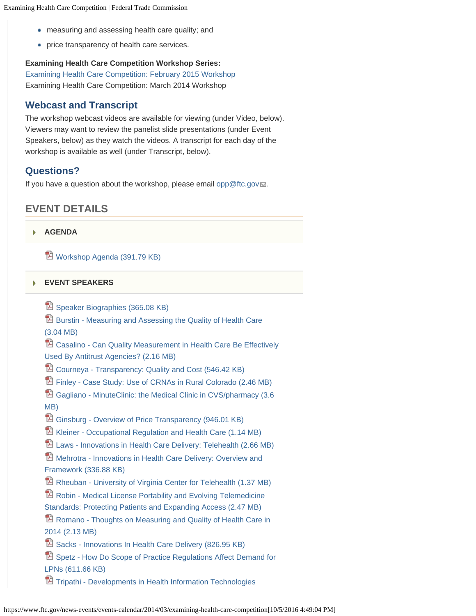- measuring and assessing health care quality; and
- **•** price transparency of health care services.

### **Examining Health Care Competition Workshop Series:**

[Examining Health Care Competition: February 2015 Workshop](https://www.ftc.gov/news-events/events-calendar/2015/02/examining-health-care-competition) Examining Health Care Competition: March 2014 Workshop

### **Webcast and Transcript**

The workshop webcast videos are available for viewing (under Video, below). Viewers may want to review the panelist slide presentations (under Event Speakers, below) as they watch the videos. A transcript for each day of the workshop is available as well (under Transcript, below).

### **Questions?**

If you have a question about the workshop, please email [opp@ftc.gov](mailto:opp@ftc.gov)...

## **EVENT DETAILS**

#### **[AGENDA](#page-0-0)** k

[Workshop Agenda \(391.79 KB\)](https://www.ftc.gov/system/files/documents/public_events/200361/healthcare-agenda_0.pdf)

#### **[EVENT SPEAKERS](#page-0-0)** ь

**E** [Speaker Biographies \(365.08 KB\)](https://www.ftc.gov/system/files/documents/public_events/200361/health_care_competition_workshop_speaker_bios_0.pdf)

**E** [Burstin - Measuring and Assessing the Quality of Health Care](https://www.ftc.gov/system/files/documents/public_events/200361/burstin_-_measuring_and_assessing_the_quality_of_health_care.pdf)

[\(3.04 MB\)](https://www.ftc.gov/system/files/documents/public_events/200361/burstin_-_measuring_and_assessing_the_quality_of_health_care.pdf)

**E** [Casalino - Can Quality Measurement in Health Care Be Effectively](https://www.ftc.gov/system/files/documents/public_events/200361/casalino_-_can_quality_measurement_in_health_care_be_effectively_used_by_antitrust_agencies.pdf) [Used By Antitrust Agencies? \(2.16 MB\)](https://www.ftc.gov/system/files/documents/public_events/200361/casalino_-_can_quality_measurement_in_health_care_be_effectively_used_by_antitrust_agencies.pdf)

**ED** [Courneya - Transparency: Quality and Cost \(546.42 KB\)](https://www.ftc.gov/system/files/documents/public_events/200361/courneya_-_transparency_quality_and_cost.pdf)

[Finley - Case Study: Use of CRNAs in Rural Colorado \(2.46 MB\)](https://www.ftc.gov/system/files/documents/public_events/200361/finley_-_case_study_use_of_crnas_in_rural_colorado.pdf)

**<sup>1</sup>2** [Gagliano - MinuteClinic: the Medical Clinic in CVS/pharmacy \(3.6](https://www.ftc.gov/system/files/documents/public_events/200361/gagliano_-_minuteclinic_the_medical_clinic_in_cvs-pharmacy.pdf) [MB\)](https://www.ftc.gov/system/files/documents/public_events/200361/gagliano_-_minuteclinic_the_medical_clinic_in_cvs-pharmacy.pdf)

[Ginsburg - Overview of Price Transparency \(946.01 KB\)](https://www.ftc.gov/system/files/documents/public_events/200361/ginsburg_-_overview_of_price_transparency.pdf)

[Kleiner - Occupational Regulation and Health Care \(1.14 MB\)](https://www.ftc.gov/system/files/documents/public_events/200361/kleiner_-_occupational_regulation_and_health_care.pdf)

[Laws - Innovations in Health Care Delivery: Telehealth \(2.66 MB\)](https://www.ftc.gov/system/files/documents/public_events/200361/laws_-_innovations_in_health_care_delivery_telehealth.pdf)

**E** [Mehrotra - Innovations in Health Care Delivery: Overview and](https://www.ftc.gov/system/files/documents/public_events/200361/mehrotra_-_innovations_in_health_care_delivery_overview_and_framework.pdf) [Framework \(336.88 KB\)](https://www.ftc.gov/system/files/documents/public_events/200361/mehrotra_-_innovations_in_health_care_delivery_overview_and_framework.pdf)

[Rheuban - University of Virginia Center for Telehealth \(1.37 MB\)](https://www.ftc.gov/system/files/documents/public_events/200361/rheuban_-_university_of_virginia_center_for_telehealth.pdf)

**E** [Robin - Medical License Portability and Evolving Telemedicine](https://www.ftc.gov/system/files/documents/public_events/200361/robin_-_medical_license_portability_and_evolving_telemedicine_standards_protecting_patients_and_expanding_access.pdf)

[Standards: Protecting Patients and Expanding Access \(2.47 MB\)](https://www.ftc.gov/system/files/documents/public_events/200361/robin_-_medical_license_portability_and_evolving_telemedicine_standards_protecting_patients_and_expanding_access.pdf)

**E** [Romano - Thoughts on Measuring and Quality of Health Care in](https://www.ftc.gov/system/files/documents/public_events/200361/romano_-_thoughts_on_measuring_and_quality_of_health_care_in_2014.pdf) [2014 \(2.13 MB\)](https://www.ftc.gov/system/files/documents/public_events/200361/romano_-_thoughts_on_measuring_and_quality_of_health_care_in_2014.pdf)

[Sacks - Innovations In Health Care Delivery \(826.95 KB\)](https://www.ftc.gov/system/files/documents/public_events/200361/sacks_-_innovations_in_health_care_delivery.pdf)

**E** [Spetz - How Do Scope of Practice Regulations Affect Demand for](https://www.ftc.gov/system/files/documents/public_events/200361/spetz_-_how_do_scope_of_practice_regulations_affect_demand_for_lpns.pdf) [LPNs \(611.66 KB\)](https://www.ftc.gov/system/files/documents/public_events/200361/spetz_-_how_do_scope_of_practice_regulations_affect_demand_for_lpns.pdf)

**TE** [Tripathi - Developments in Health Information Technologies](https://www.ftc.gov/system/files/documents/public_events/200361/tripathi_-_developments_in_health_information_technologies.pdf)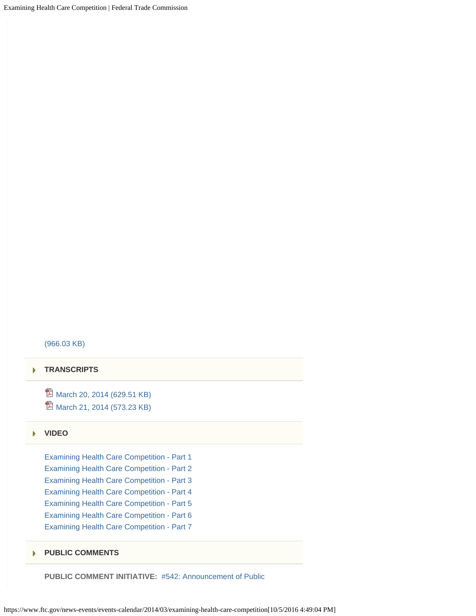Examining Health Care Competition | Federal Trade Commission

#### [\(966.03 KB\)](https://www.ftc.gov/system/files/documents/public_events/200361/tripathi_-_developments_in_health_information_technologies.pdf)

#### **[TRANSCRIPTS](#page-0-0)**

<sup>2</sup> [March 20, 2014 \(629.51 KB\)](https://www.ftc.gov/system/files/documents/public_events/200361/transcriptmar20.pdf) <sup>1</sup> [March 21, 2014 \(573.23 KB\)](https://www.ftc.gov/system/files/documents/public_events/200361/transcriptmar21_0.pdf)

#### **[VIDEO](#page-0-0)**

[Examining Health Care Competition - Part 1](https://www.ftc.gov/news-events/audio-video/video/examining-health-care-competition-part-1) [Examining Health Care Competition - Part 2](https://www.ftc.gov/news-events/audio-video/video/examining-health-care-competition-part-2) [Examining Health Care Competition - Part 3](https://www.ftc.gov/news-events/audio-video/video/examining-health-care-competition-part-3) [Examining Health Care Competition - Part 4](https://www.ftc.gov/news-events/audio-video/video/examining-health-care-competition-part-4) [Examining Health Care Competition - Part 5](https://www.ftc.gov/news-events/audio-video/video/examining-health-care-competition-part-5) [Examining Health Care Competition - Part 6](https://www.ftc.gov/news-events/audio-video/video/examining-health-care-competition-part-6) [Examining Health Care Competition - Part 7](https://www.ftc.gov/news-events/audio-video/video/examining-health-care-competition-part-7)

#### **[PUBLIC COMMENTS](#page-0-0)** þ.

**PUBLIC COMMENT INITIATIVE:** [#542: Announcement of Public](https://www.ftc.gov/policy/public-comments/initiative-542)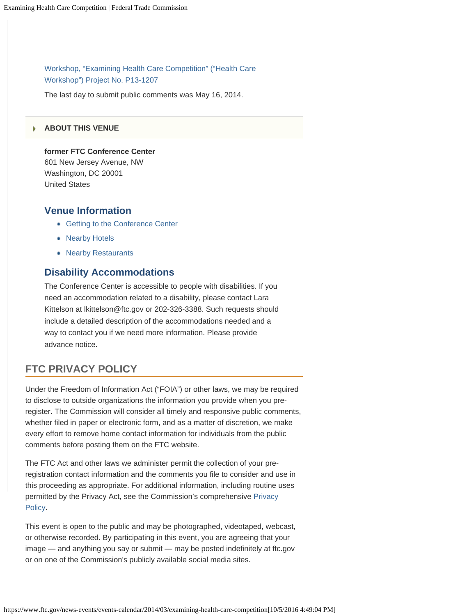[Workshop, "Examining Health Care Competition" \("Health Care](https://www.ftc.gov/policy/public-comments/initiative-542) [Workshop"\) Project No. P13-1207](https://www.ftc.gov/policy/public-comments/initiative-542)

The last day to submit public comments was May 16, 2014.

#### **[ABOUT THIS VENUE](#page-0-0)**

**former FTC Conference Center** 601 New Jersey Avenue, NW

Washington, DC 20001 United States

### **Venue Information**

- [Getting to the Conference Center](https://www.ftc.gov/news-events/events-calendar/directions-ftc-satellite-building-conference-center)
- [Nearby Hotels](https://www.ftc.gov/news-events/events-calendar/hotels-near-ftc)
- [Nearby Restaurants](https://www.ftc.gov/news-events/events-calendar/restaurants-near-ftc)

### **Disability Accommodations**

The Conference Center is accessible to people with disabilities. If you need an accommodation related to a disability, please contact Lara Kittelson at lkittelson@ftc.gov or 202-326-3388. Such requests should include a detailed description of the accommodations needed and a way to contact you if we need more information. Please provide advance notice.

### **FTC PRIVACY POLICY**

Under the Freedom of Information Act ("FOIA") or other laws, we may be required to disclose to outside organizations the information you provide when you preregister. The Commission will consider all timely and responsive public comments, whether filed in paper or electronic form, and as a matter of discretion, we make every effort to remove home contact information for individuals from the public comments before posting them on the FTC website.

The FTC Act and other laws we administer permit the collection of your preregistration contact information and the comments you file to consider and use in this proceeding as appropriate. For additional information, including routine uses permitted by the Privacy Act, see the Commission's comprehensive [Privacy](https://www.ftc.gov/site-information/privacy-policy) [Policy.](https://www.ftc.gov/site-information/privacy-policy)

This event is open to the public and may be photographed, videotaped, webcast, or otherwise recorded. By participating in this event, you are agreeing that your image — and anything you say or submit — may be posted indefinitely at ftc.gov or on one of the Commission's publicly available social media sites.